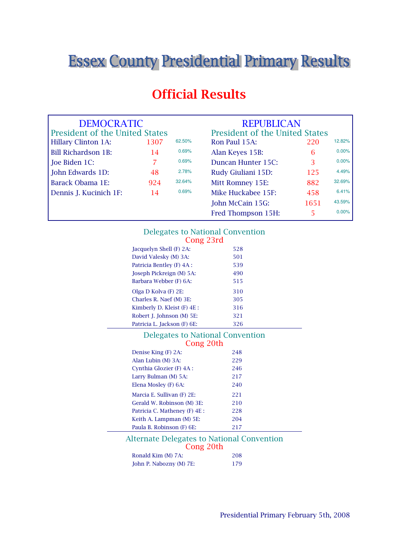# **Essex County Presidential Primary Results.**

# Official Results

| <b>DEMOCRATIC</b>                     |      |        | <b>REPUBLICAN</b>              |      |        |
|---------------------------------------|------|--------|--------------------------------|------|--------|
| <b>President of the United States</b> |      |        | President of the United States |      |        |
| <b>Hillary Clinton 1A:</b>            | 1307 | 62.50% | Ron Paul 15A:                  | 220  | 12.82% |
| <b>Bill Richardson 1B:</b>            | 14   | 0.69%  | Alan Keyes 15B:                | 6    | 0.00%  |
| Joe Biden 1C:                         |      | 0.69%  | Duncan Hunter 15C:             | 3    | 0.00%  |
| John Edwards 1D:                      | 48   | 2.78%  | Rudy Giuliani 15D:             | 125  | 4.49%  |
| Barack Obama 1E:                      | 924  | 32.64% | Mitt Romney 15E:               | 882  | 32.69% |
| Dennis J. Kucinich 1F:                | 14   | 0.69%  | Mike Huckabee 15F:             | 458  | 6.41%  |
|                                       |      |        | John McCain 15G:               | 1651 | 43.59% |
|                                       |      |        | Fred Thompson 15H:             |      | 0.00%  |

# Delegates to National Convention

| Cong 23rd                   |     |
|-----------------------------|-----|
| Jacquelyn Shell (F) 2A:     | 528 |
| David Valesky (M) 3A:       | 501 |
| Patricia Bentley (F) 4A :   | 539 |
| Joseph Pickreign (M) 5A:    | 490 |
| Barbara Webber (F) 6A:      | 515 |
| Olga D Kolva (F) 2E:        | 310 |
| Charles R. Naef (M) 3E:     | 305 |
| Kimberly D. Kleist (F) 4E : | 316 |
| Robert J. Johnson (M) 5E:   | 321 |
| Patricia L. Jackson (F) 6E: | 326 |

| Delegates to National Convention<br>Cong 20th                  |  |  |  |
|----------------------------------------------------------------|--|--|--|
| 248                                                            |  |  |  |
|                                                                |  |  |  |
| 229                                                            |  |  |  |
| 246                                                            |  |  |  |
| 217                                                            |  |  |  |
| 240                                                            |  |  |  |
| 221                                                            |  |  |  |
| 210                                                            |  |  |  |
| 228                                                            |  |  |  |
| 204                                                            |  |  |  |
| 217                                                            |  |  |  |
| <b>Alternate Delegates to National Convention</b><br>Cong 20th |  |  |  |
|                                                                |  |  |  |

|                         | $\frac{1}{2}$ |     |
|-------------------------|---------------|-----|
| Ronald Kim (M) 7A:      |               | 208 |
| John P. Nabozny (M) 7E: |               | 179 |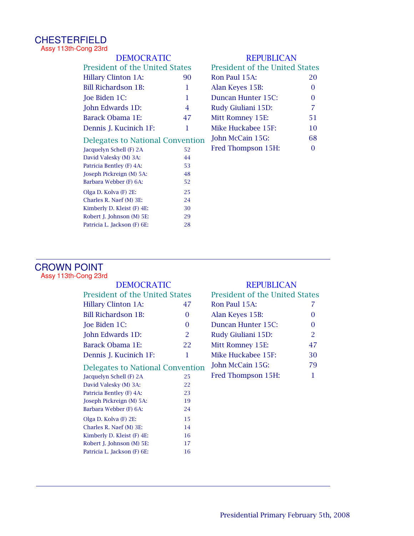#### CHESTERFIELD Assy 113th-Cong 23rd

| <b>DEMOCRATIC</b>                       |                                | <b>REPUBLICAN</b> |                                       |          |  |
|-----------------------------------------|--------------------------------|-------------------|---------------------------------------|----------|--|
|                                         | President of the United States |                   | <b>President of the United States</b> |          |  |
|                                         | <b>Hillary Clinton 1A:</b>     | 90                | Ron Paul 15A:                         | 20       |  |
|                                         | <b>Bill Richardson 1B:</b>     | 1                 | Alan Keyes 15B:                       | 0        |  |
|                                         | Joe Biden 1C:                  | 1                 | Duncan Hunter 15C:                    | 0        |  |
|                                         | John Edwards 1D:               | 4                 | Rudy Giuliani 15D:                    | 7        |  |
|                                         | Barack Obama 1E:               | 47                | Mitt Romney 15E:                      | 51       |  |
|                                         | Dennis J. Kucinich 1F:         | 1                 | Mike Huckabee 15F:                    | 10       |  |
| <b>Delegates to National Convention</b> |                                |                   | John McCain 15G:                      | 68       |  |
|                                         | Jacquelyn Schell (F) 2A        | 52                | Fred Thompson 15H:                    | $\Omega$ |  |
|                                         | David Valesky (M) 3A:          | 44                |                                       |          |  |
|                                         | Patricia Bentley (F) 4A:       | 53                |                                       |          |  |
|                                         | Joseph Pickreign (M) 5A:       | 48                |                                       |          |  |
|                                         | Barbara Webber (F) 6A:         | 52                |                                       |          |  |
|                                         | Olga D. Kolva (F) 2E:          | 25                |                                       |          |  |
|                                         | Charles R. Naef (M) 3E:        | 24                |                                       |          |  |
|                                         | Kimberly D. Kleist (F) 4E:     | 30                |                                       |          |  |
|                                         | Robert J. Johnson (M) 5E:      | 29                |                                       |          |  |
|                                         | Patricia L. Jackson (F) 6E:    | 28                |                                       |          |  |

#### CROWN POINT Assy 113th-Cong 23rd

| <b>DEMOCRATIC</b>                     |                | <b>REPUBLICAN</b>                     |          |  |
|---------------------------------------|----------------|---------------------------------------|----------|--|
| <b>President of the United States</b> |                | <b>President of the United States</b> |          |  |
| <b>Hillary Clinton 1A:</b>            | 47             | Ron Paul 15A:                         |          |  |
| Bill Richardson 1B:                   | $\Omega$       | Alan Keyes 15B:                       | $\Omega$ |  |
| Joe Biden 1C:                         | $\Omega$       | Duncan Hunter 15C:                    | 0        |  |
| John Edwards 1D:                      | $\overline{2}$ | Rudy Giuliani 15D:                    | 2        |  |
| Barack Obama 1E:                      | 22             | Mitt Romney 15E:                      | 47       |  |
| Dennis J. Kucinich 1F:                | 1              | Mike Huckabee 15F:                    | 30       |  |
| Delegates to National Convention      |                | John McCain 15G:                      | 79       |  |
| Jacquelyn Schell (F) 2A               | 25             | Fred Thompson 15H:                    | 1        |  |
| David Valesky (M) 3A:                 | 22             |                                       |          |  |
| Patricia Bentley (F) 4A:              | 23             |                                       |          |  |
| Joseph Pickreign (M) 5A:              | 19             |                                       |          |  |
| Barbara Webber (F) 6A:                | 24             |                                       |          |  |
| Olga D. Kolva (F) 2E:                 | 15             |                                       |          |  |
| Charles R. Naef (M) 3E:               | 14             |                                       |          |  |
| Kimberly D. Kleist (F) 4E:            | 16             |                                       |          |  |
| Robert J. Johnson (M) 5E:             | 17             |                                       |          |  |
| Patricia L. Jackson (F) 6E:           | 16             |                                       |          |  |
|                                       |                |                                       |          |  |

| <b>President of the United States</b> |                |
|---------------------------------------|----------------|
| Ron Paul 15A:                         | 7              |
| Alan Keyes 15B:                       | 0              |
| Duncan Hunter 15C:                    | $\Omega$       |
| Rudy Giuliani 15D:                    | $\overline{2}$ |
| Mitt Romney 15E:                      | 47             |
| Mike Huckabee 15F:                    | 30             |
| John McCain 15G:                      | 79             |
| Fred Thompson 15H:                    | 1              |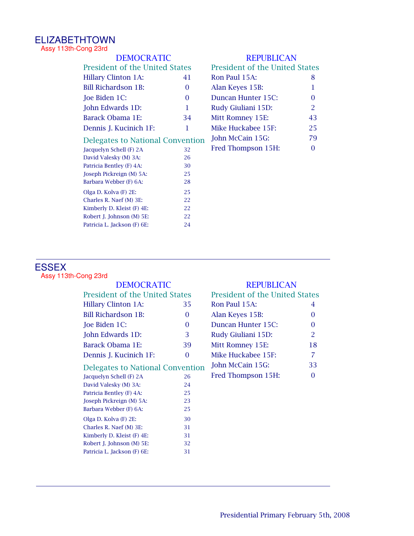# ELIZABETHTOWN

Assy 113th-Cong 23rd

| <b>DEMOCRATIC</b>                       |                                       | <b>REPUBLICAN</b> |                                       |                |  |
|-----------------------------------------|---------------------------------------|-------------------|---------------------------------------|----------------|--|
|                                         | <b>President of the United States</b> |                   | <b>President of the United States</b> |                |  |
|                                         | <b>Hillary Clinton 1A:</b>            | 41                | Ron Paul 15A:                         | 8              |  |
|                                         | <b>Bill Richardson 1B:</b>            | $\Omega$          | Alan Keyes 15B:                       | 1              |  |
|                                         | Joe Biden 1C:                         | $\Omega$          | Duncan Hunter 15C:                    | 0              |  |
|                                         | John Edwards 1D:                      | 1                 | Rudy Giuliani 15D:                    | $\overline{2}$ |  |
|                                         | Barack Obama 1E:                      | 34                | Mitt Romney 15E:                      | 43             |  |
|                                         | Dennis J. Kucinich 1F:                | 1                 | Mike Huckabee 15F:                    | 25             |  |
| <b>Delegates to National Convention</b> |                                       |                   | John McCain 15G:                      | 79             |  |
|                                         | Jacquelyn Schell (F) 2A               | 32                | Fred Thompson 15H:                    | 0              |  |
|                                         | David Valesky (M) 3A:                 | 26                |                                       |                |  |
|                                         | Patricia Bentley (F) 4A:              | 30                |                                       |                |  |
|                                         | Joseph Pickreign (M) 5A:              | 25                |                                       |                |  |
|                                         | Barbara Webber (F) 6A:                | 28                |                                       |                |  |
|                                         | Olga D. Kolva (F) 2E:                 | 25                |                                       |                |  |
|                                         | Charles R. Naef (M) 3E:               | 22                |                                       |                |  |
|                                         | Kimberly D. Kleist (F) 4E:            | 22                |                                       |                |  |
|                                         | Robert J. Johnson (M) 5E:             | 22                |                                       |                |  |
|                                         | Patricia L. Jackson (F) 6E:           | 24                |                                       |                |  |

#### ESSEX Assy 113th-Cong 23rd

| DEMOCRATIC                       |    | <b>REPUBLICAN</b>                     |                |  |
|----------------------------------|----|---------------------------------------|----------------|--|
| President of the United States   |    | <b>President of the United States</b> |                |  |
| <b>Hillary Clinton 1A:</b>       | 35 | Ron Paul 15A:                         | 4              |  |
| <b>Bill Richardson 1B:</b>       | 0  | Alan Keyes 15B:                       | 0              |  |
| Joe Biden 1C:                    | 0  | Duncan Hunter 15C:                    | 0              |  |
| John Edwards 1D:                 | 3  | Rudy Giuliani 15D:                    | $\overline{2}$ |  |
| Barack Obama 1E:                 | 39 | Mitt Romney 15E:                      | 18             |  |
| Dennis J. Kucinich 1F:           | 0  | Mike Huckabee 15F:                    | 7              |  |
| Delegates to National Convention |    | John McCain 15G:                      | 33             |  |
| Jacquelyn Schell (F) 2A          | 26 | Fred Thompson 15H:                    | 0              |  |
| David Valesky (M) 3A:            | 24 |                                       |                |  |
| Patricia Bentley (F) 4A:         | 25 |                                       |                |  |
| Joseph Pickreign (M) 5A:         | 23 |                                       |                |  |
| Barbara Webber (F) 6A:           | 25 |                                       |                |  |
| Olga D. Kolva (F) 2E:            | 30 |                                       |                |  |
| Charles R. Naef (M) 3E:          | 31 |                                       |                |  |
| Kimberly D. Kleist (F) 4E:       | 31 |                                       |                |  |
| Robert J. Johnson (M) 5E:        | 32 |                                       |                |  |
| Patricia L. Jackson (F) 6E:      | 31 |                                       |                |  |
|                                  |    |                                       |                |  |

# DEMOCRATIC REPUBLICAN

| <b>President of the United States</b> |                |
|---------------------------------------|----------------|
| Ron Paul 15A:                         | 4              |
| Alan Keyes 15B:                       | 0              |
| Duncan Hunter 15C:                    | $\Omega$       |
| Rudy Giuliani 15D:                    | $\overline{2}$ |
| Mitt Romney 15E:                      | 18             |
| Mike Huckabee 15F:                    | 7              |
| John McCain 15G:                      | 33             |
| Fred Thompson 15H:                    | ∩              |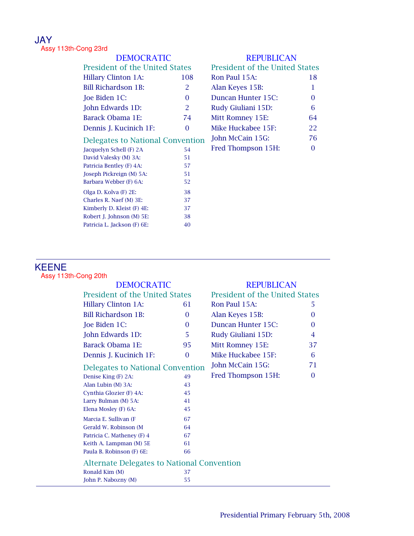# JAY

Assy 113th-Cong 23rd

| <b>DEMOCRATIC</b>                       |          | <b>REPUBLICAN</b>                     |          |  |
|-----------------------------------------|----------|---------------------------------------|----------|--|
| <b>President of the United States</b>   |          | <b>President of the United States</b> |          |  |
| <b>Hillary Clinton 1A:</b>              | 108      | Ron Paul 15A:                         | 18       |  |
| <b>Bill Richardson 1B:</b>              | 2        | Alan Keyes 15B:                       | 1        |  |
| Joe Biden 1C:                           | $\Omega$ | Duncan Hunter 15C:                    | 0        |  |
| John Edwards 1D:                        | 2        | Rudy Giuliani 15D:                    | 6        |  |
| Barack Obama 1E:                        | 74       | Mitt Romney 15E:                      | 64       |  |
| Dennis J. Kucinich 1F:                  | $\Omega$ | Mike Huckabee 15F:                    | 22       |  |
| <b>Delegates to National Convention</b> |          | John McCain 15G:                      | 76       |  |
| Jacquelyn Schell (F) 2A                 | 54       | Fred Thompson 15H:                    | $\Omega$ |  |
| David Valesky (M) 3A:                   | 51       |                                       |          |  |
| Patricia Bentley (F) 4A:                | 57       |                                       |          |  |
| Joseph Pickreign (M) 5A:                | 51       |                                       |          |  |
| Barbara Webber (F) 6A:                  | 52       |                                       |          |  |
| Olga D. Kolva (F) 2E:                   | 38       |                                       |          |  |
| Charles R. Naef (M) 3E:                 | 37       |                                       |          |  |
| Kimberly D. Kleist (F) 4E:              | 37       |                                       |          |  |
| Robert J. Johnson (M) 5E:               | 38       |                                       |          |  |
| Patricia L. Jackson (F) 6E:             | 40       |                                       |          |  |

#### KEENE Assy 113th-Cong 20th

| <b>DEMOCRATIC</b>                                 |          | <b>REPUBLICAN</b>                     |          |
|---------------------------------------------------|----------|---------------------------------------|----------|
| <b>President of the United States</b>             |          | <b>President of the United States</b> |          |
| <b>Hillary Clinton 1A:</b>                        | 61       | Ron Paul 15A:                         | 5.       |
| <b>Bill Richardson 1B:</b>                        | $\Omega$ | Alan Keyes 15B:                       | 0        |
| Joe Biden 1C:                                     | $\Omega$ | Duncan Hunter 15C:                    | $\Omega$ |
| John Edwards 1D:                                  | 5        | Rudy Giuliani 15D:                    | 4        |
| Barack Obama 1E:                                  | 95       | Mitt Romney 15E:                      | 37       |
| Dennis J. Kucinich 1F:                            | $\Omega$ | Mike Huckabee 15F:                    | 6        |
| <b>Delegates to National Convention</b>           |          | John McCain 15G:                      | 71       |
| Denise King (F) 2A:                               | 49       | Fred Thompson 15H:                    | 0        |
| Alan Lubin (M) 3A:                                | 43       |                                       |          |
| Cynthia Glozier (F) 4A:                           | 45       |                                       |          |
| Larry Bulman (M) 5A:                              | 41       |                                       |          |
| Elena Mosley (F) 6A:                              | 45       |                                       |          |
| Marcia E. Sullivan (F                             | 67       |                                       |          |
| Gerald W. Robinson (M                             | 64       |                                       |          |
| Patricia C. Matheney (F) 4                        | 67       |                                       |          |
| Keith A. Lampman (M) 5E                           | 61       |                                       |          |
| Paula B. Robinson (F) 6E:                         | 66       |                                       |          |
| <b>Alternate Delegates to National Convention</b> |          |                                       |          |
| Ronald Kim (M)                                    | 37       |                                       |          |
| John P. Nabozny (M)                               | 55       |                                       |          |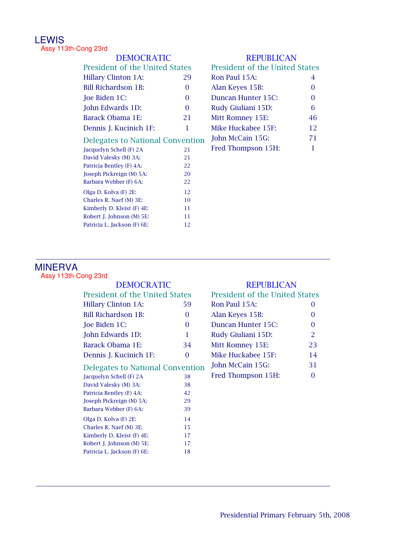# LEWIS

Assy 113th-Cong 23rd

| <b>DEMOCRATIC</b>                       |          | <b>REPUBLICAN</b>                     |    |
|-----------------------------------------|----------|---------------------------------------|----|
| <b>President of the United States</b>   |          | <b>President of the United States</b> |    |
| <b>Hillary Clinton 1A:</b>              | 29       | Ron Paul 15A:                         | 4  |
| <b>Bill Richardson 1B:</b>              | 0        | Alan Keyes 15B:                       | 0  |
| Joe Biden 1C:                           | $\Omega$ | Duncan Hunter 15C:                    | 0  |
| John Edwards 1D:                        | $\Omega$ | Rudy Giuliani 15D:                    | 6  |
| Barack Obama 1E:                        | 21       | Mitt Romney 15E:                      | 46 |
| Dennis J. Kucinich 1F:                  | 1        | Mike Huckabee 15F:                    | 12 |
| <b>Delegates to National Convention</b> |          | John McCain 15G:                      | 71 |
| Jacquelyn Schell (F) 2A                 | 21       | Fred Thompson 15H:                    | 1  |
| David Valesky (M) 3A:                   | 21       |                                       |    |
| Patricia Bentley (F) 4A:                | 22       |                                       |    |
| Joseph Pickreign (M) 5A:                | 20       |                                       |    |
| Barbara Webber (F) 6A:                  | 22       |                                       |    |
| Olga D. Kolva (F) 2E:                   | 12       |                                       |    |
| Charles R. Naef (M) 3E:                 | 10       |                                       |    |
| Kimberly D. Kleist (F) 4E:              | 11       |                                       |    |
| Robert J. Johnson (M) 5E:               | 11       |                                       |    |
| Patricia L. Jackson (F) 6E:             | 12       |                                       |    |

# MINERVA

Assy 113th-Cong 23rd

| DEMOCRATIC                              |          | <b>REPUBLICAN</b>                     |                |
|-----------------------------------------|----------|---------------------------------------|----------------|
| <b>President of the United States</b>   |          | <b>President of the United States</b> |                |
| <b>Hillary Clinton 1A:</b>              | 59       | Ron Paul 15A:                         | $\Omega$       |
| <b>Bill Richardson 1B:</b>              | 0        | Alan Keyes 15B:                       | $\Omega$       |
| Joe Biden 1C:                           | $\Omega$ | Duncan Hunter 15C:                    | 0              |
| John Edwards 1D:                        | 1        | Rudy Giuliani 15D:                    | $\overline{2}$ |
| Barack Obama 1E:                        | 34       | Mitt Romney 15E:                      | 23             |
| Dennis J. Kucinich 1F:                  | $\Omega$ | Mike Huckabee 15F:                    | 14             |
| <b>Delegates to National Convention</b> |          | John McCain 15G:                      | 31             |
| Jacquelyn Schell (F) 2A                 | 38       | Fred Thompson 15H:                    | $\Omega$       |
| David Valesky (M) 3A:                   | 38       |                                       |                |
| Patricia Bentley (F) 4A:                | 42       |                                       |                |
| Joseph Pickreign (M) 5A:                | 29       |                                       |                |
| Barbara Webber (F) 6A:                  | 39       |                                       |                |
| Olga D. Kolva (F) 2E:                   | 14       |                                       |                |
| Charles R. Naef (M) 3E:                 | 15       |                                       |                |
| Kimberly D. Kleist (F) 4E:              | 17       |                                       |                |
| Robert J. Johnson (M) 5E:               | 17       |                                       |                |
| Patricia L. Jackson (F) 6E:             | 18       |                                       |                |
|                                         |          |                                       |                |

| President of the United States |               |
|--------------------------------|---------------|
| Ron Paul 15A:                  | 0             |
| Alan Keyes 15B:                | $\Omega$      |
| Duncan Hunter 15C:             | $\Omega$      |
| Rudy Giuliani 15D:             | $\mathcal{P}$ |
| Mitt Romney 15E:               | 23            |
| Mike Huckabee 15F:             | 14            |
| John McCain 15G:               | 31            |
| Fred Thompson 15H:             | ∩             |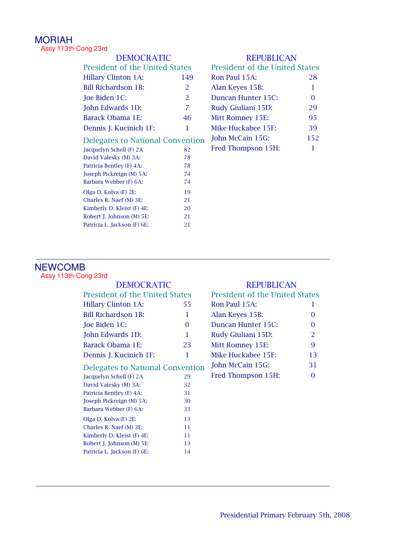# MORIAH

Assy 113th-Cong 23rd

| <b>DEMOCRATIC</b>                     |                | <b>REPUBLICAN</b>                     |          |
|---------------------------------------|----------------|---------------------------------------|----------|
| <b>President of the United States</b> |                | <b>President of the United States</b> |          |
| <b>Hillary Clinton 1A:</b>            | 149            | Ron Paul 15A:                         | 28       |
| <b>Bill Richardson 1B:</b>            | $\overline{2}$ | Alan Keyes 15B:                       | 1        |
| Joe Biden 1C:                         | 2              | Duncan Hunter 15C:                    | $\Omega$ |
| John Edwards 1D:                      | 7              | Rudy Giuliani 15D:                    | 29       |
| Barack Obama 1E:                      | 46             | Mitt Romney 15E:                      | 95       |
| Dennis J. Kucinich 1F:                | 1              | Mike Huckabee 15F:                    | 39       |
| Delegates to National Convention      |                | John McCain 15G:                      | 152      |
| Jacquelyn Schell (F) 2A               | 82             | Fred Thompson 15H:                    | 1        |
| David Valesky (M) 3A:                 | 78             |                                       |          |
| Patricia Bentley (F) 4A:              | 78             |                                       |          |
| Joseph Pickreign (M) 5A:              | 74             |                                       |          |
| Barbara Webber (F) 6A:                | 74             |                                       |          |
| Olga D. Kolva (F) 2E:                 | 19             |                                       |          |
| Charles R. Naef (M) 3E:               | 21             |                                       |          |
| Kimberly D. Kleist (F) 4E:            | 20             |                                       |          |
| Robert J. Johnson (M) 5E:             | 21             |                                       |          |
| Patricia L. Jackson (F) 6E:           | 21             |                                       |          |

# NEWCOMB

Assy 113th-Cong 23rd

| DEMOCRATIC                              |          | <b>REPUBLICAN</b>                     |          |
|-----------------------------------------|----------|---------------------------------------|----------|
| <b>President of the United States</b>   |          | <b>President of the United States</b> |          |
| <b>Hillary Clinton 1A:</b>              | 55       | Ron Paul 15A:                         | 1        |
| <b>Bill Richardson 1B:</b>              | 1        | Alan Keyes 15B:                       | $\theta$ |
| Joe Biden 1C:                           | $\Omega$ | Duncan Hunter 15C:                    | 0        |
| John Edwards 1D:                        | 1        | Rudy Giuliani 15D:                    | 2        |
| Barack Obama 1E:                        | 23       | Mitt Romney 15E:                      | 9        |
| Dennis J. Kucinich 1F:                  | 1        | Mike Huckabee 15F:                    | 13       |
| <b>Delegates to National Convention</b> |          | John McCain 15G:                      | 31       |
| Jacquelyn Schell (F) 2A                 | 29       | Fred Thompson 15H:                    | $\Omega$ |
| David Valesky (M) 3A:                   | 32       |                                       |          |
| Patricia Bentley (F) 4A:                | 31       |                                       |          |
| Joseph Pickreign (M) 5A:                | 30       |                                       |          |
| Barbara Webber (F) 6A:                  | 33       |                                       |          |
| Olga D. Kolva (F) 2E:                   | 13       |                                       |          |
| Charles R. Naef (M) 3E:                 | 11       |                                       |          |
| Kimberly D. Kleist (F) 4E:              | 11       |                                       |          |
| Robert J. Johnson (M) 5E:               | 13       |                                       |          |
| Patricia L. Jackson (F) 6E:             | 14       |                                       |          |
|                                         |          |                                       |          |

| <b>President of the United States</b> |                |
|---------------------------------------|----------------|
| Ron Paul 15A:                         | 1              |
| Alan Keyes 15B:                       | $\Omega$       |
| Duncan Hunter 15C:                    | $\Omega$       |
| Rudy Giuliani 15D:                    | $\overline{2}$ |
| Mitt Romney 15E:                      | 9              |
| Mike Huckabee 15F:                    | 13             |
| John McCain 15G:                      | 31             |
| Fred Thompson 15H:                    | 0              |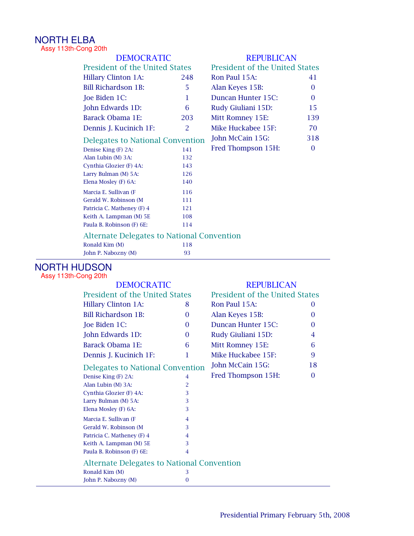# NORTH ELBA

Assy 113th-Cong 20th

| <b>DEMOCRATIC</b>                                 |     | <b>REPUBLICAN</b>                     |                |
|---------------------------------------------------|-----|---------------------------------------|----------------|
| President of the United States                    |     | <b>President of the United States</b> |                |
| <b>Hillary Clinton 1A:</b>                        | 248 | Ron Paul 15A:                         | 41             |
| <b>Bill Richardson 1B:</b>                        | 5   | Alan Keyes 15B:                       | $\Omega$       |
| Joe Biden 1C:                                     | 1   | Duncan Hunter 15C:                    | $\overline{0}$ |
| John Edwards 1D:                                  | 6   | Rudy Giuliani 15D:                    | 15             |
| Barack Obama 1E:                                  | 203 | Mitt Romney 15E:                      | 139            |
| Dennis J. Kucinich 1F:                            | 2   | Mike Huckabee 15F:                    | 70             |
| Delegates to National Convention                  |     | John McCain 15G:                      | 318            |
| Denise King (F) 2A:                               | 141 | Fred Thompson 15H:                    | 0              |
| Alan Lubin (M) 3A:                                | 132 |                                       |                |
| Cynthia Glozier (F) 4A:                           | 143 |                                       |                |
| Larry Bulman (M) 5A:                              | 126 |                                       |                |
| Elena Mosley (F) 6A:                              | 140 |                                       |                |
| Marcia E. Sullivan (F                             | 116 |                                       |                |
| Gerald W. Robinson (M                             | 111 |                                       |                |
| Patricia C. Matheney (F) 4                        | 121 |                                       |                |
| Keith A. Lampman (M) 5E                           | 108 |                                       |                |
| Paula B. Robinson (F) 6E:                         | 114 |                                       |                |
| <b>Alternate Delegates to National Convention</b> |     |                                       |                |
| Ronald Kim (M)                                    | 118 |                                       |                |
| John P. Nabozny (M)                               | 93  |                                       |                |

# NORTH HUDSON

Assy 113th-Cong 20th

| <b>DEMOCRATIC</b>                     |                                                   | <b>REPUBLICAN</b>                     |                    |          |
|---------------------------------------|---------------------------------------------------|---------------------------------------|--------------------|----------|
| <b>President of the United States</b> |                                                   | <b>President of the United States</b> |                    |          |
|                                       | <b>Hillary Clinton 1A:</b>                        | 8                                     | Ron Paul 15A:      | $\theta$ |
|                                       | <b>Bill Richardson 1B:</b>                        | 0                                     | Alan Keyes 15B:    | $\Omega$ |
|                                       | Joe Biden 1C:                                     | 0                                     | Duncan Hunter 15C: | 0        |
|                                       | John Edwards 1D:                                  | 0                                     | Rudy Giuliani 15D: | 4        |
|                                       | Barack Obama 1E:                                  | 6                                     | Mitt Romney 15E:   | 6        |
|                                       | Dennis J. Kucinich 1F:                            | 1                                     | Mike Huckabee 15F: | 9        |
|                                       | <b>Delegates to National Convention</b>           |                                       | John McCain 15G:   | 18       |
|                                       | Denise King (F) 2A:                               | 4                                     | Fred Thompson 15H: | $\Omega$ |
|                                       | Alan Lubin (M) 3A:                                | 2                                     |                    |          |
|                                       | Cynthia Glozier (F) 4A:                           | 3                                     |                    |          |
|                                       | Larry Bulman (M) 5A:                              | 3                                     |                    |          |
|                                       | Elena Mosley (F) 6A:                              | 3                                     |                    |          |
|                                       | Marcia E. Sullivan (F                             | 4                                     |                    |          |
|                                       | Gerald W. Robinson (M)                            | 3                                     |                    |          |
|                                       | Patricia C. Matheney (F) 4                        | 4                                     |                    |          |
|                                       | Keith A. Lampman (M) 5E                           | 3                                     |                    |          |
|                                       | Paula B. Robinson (F) 6E:                         | 4                                     |                    |          |
|                                       | <b>Alternate Delegates to National Convention</b> |                                       |                    |          |
|                                       | Ronald Kim (M)                                    | 3                                     |                    |          |
|                                       | John P. Nabozny (M)                               | $\overline{0}$                        |                    |          |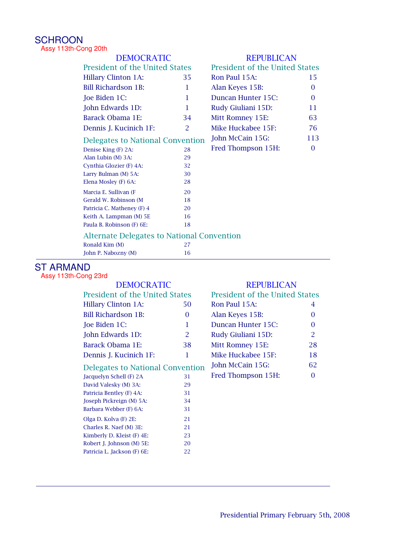#### **SCHROON** Assy 113th-Cong 20th

| <b>REPUBLICAN</b>                                 |  |
|---------------------------------------------------|--|
| <b>President of the United States</b>             |  |
| Ron Paul 15A:<br>15                               |  |
| Alan Keyes 15B:<br>$\Omega$                       |  |
| Duncan Hunter 15C:<br>$\Omega$                    |  |
| Rudy Giuliani 15D:<br>11                          |  |
| 63<br>Mitt Romney 15E:                            |  |
| Mike Huckabee 15F:<br>76                          |  |
| John McCain 15G:<br>113                           |  |
| Fred Thompson 15H:<br>$\Omega$                    |  |
|                                                   |  |
|                                                   |  |
|                                                   |  |
|                                                   |  |
|                                                   |  |
|                                                   |  |
|                                                   |  |
|                                                   |  |
|                                                   |  |
| <b>Alternate Delegates to National Convention</b> |  |
|                                                   |  |
|                                                   |  |
|                                                   |  |

# ST ARMAND

Assy 113th-Cong 23rd

| <b>DEMOCRATIC</b>                     |                | <b>REPUBLICAN</b>                     |    |
|---------------------------------------|----------------|---------------------------------------|----|
| <b>President of the United States</b> |                | <b>President of the United States</b> |    |
| <b>Hillary Clinton 1A:</b>            | 50             | Ron Paul 15A:                         | 4  |
| Bill Richardson 1B:                   | 0              | Alan Keyes 15B:                       | 0  |
| Joe Biden 1C:                         | 1              | Duncan Hunter 15C:                    | 0  |
| John Edwards 1D:                      | $\overline{2}$ | Rudy Giuliani 15D:                    | 2  |
| Barack Obama 1E:                      | 38             | Mitt Romney 15E:                      | 28 |
| Dennis J. Kucinich 1F:                | 1              | Mike Huckabee 15F:                    | 18 |
| Delegates to National Convention      |                | John McCain 15G:                      | 62 |
| Jacquelyn Schell (F) 2A               | 31             | Fred Thompson 15H:                    | 0  |
| David Valesky (M) 3A:                 | 29             |                                       |    |
| Patricia Bentley (F) 4A:              | 31             |                                       |    |
| Joseph Pickreign (M) 5A:              | 34             |                                       |    |
| Barbara Webber (F) 6A:                | 31             |                                       |    |
| Olga D. Kolva (F) 2E:                 | 21             |                                       |    |
| Charles R. Naef (M) 3E:               | 21             |                                       |    |
| Kimberly D. Kleist (F) 4E:            | 23             |                                       |    |
| Robert J. Johnson (M) 5E:             | 20             |                                       |    |
| Patricia L. Jackson (F) 6E:           | 22             |                                       |    |
|                                       |                |                                       |    |

| <b>President of the United States</b> |                |
|---------------------------------------|----------------|
| Ron Paul 15A:                         | 4              |
| Alan Keyes 15B:                       | 0              |
| Duncan Hunter 15C:                    | $\Omega$       |
| Rudy Giuliani 15D:                    | $\overline{2}$ |
| Mitt Romney 15E:                      | 28             |
| Mike Huckabee 15F:                    | 18             |
| John McCain 15G:                      | 62             |
| Fred Thompson 15H:                    | 0              |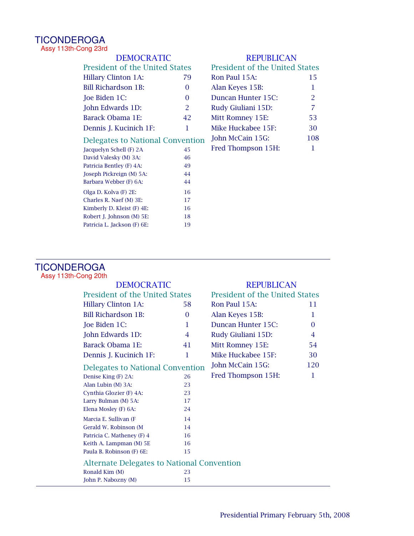#### **TICONDEROGA** Assy 113th-Cong 23rd

| <b>DEMOCRATIC</b>                       |          | <b>REPUBLICAN</b>                     |                |
|-----------------------------------------|----------|---------------------------------------|----------------|
| <b>President of the United States</b>   |          | <b>President of the United States</b> |                |
| <b>Hillary Clinton 1A:</b>              | 79       | Ron Paul 15A:                         | 15             |
| <b>Bill Richardson 1B:</b>              | $\Omega$ | Alan Keyes 15B:                       | 1              |
| Joe Biden 1C:                           | $\Omega$ | Duncan Hunter 15C:                    | $\overline{2}$ |
| John Edwards 1D:                        | 2        | Rudy Giuliani 15D:                    | 7              |
| Barack Obama 1E:                        | 42       | Mitt Romney 15E:                      | 53             |
| Dennis J. Kucinich 1F:                  | 1        | Mike Huckabee 15F:                    | 30             |
| <b>Delegates to National Convention</b> |          | John McCain 15G:                      | 108            |
| Jacquelyn Schell (F) 2A                 | 45       | Fred Thompson 15H:                    | 1              |
| David Valesky (M) 3A:                   | 46       |                                       |                |
| Patricia Bentley (F) 4A:                | 49       |                                       |                |
| Joseph Pickreign (M) 5A:                | 44       |                                       |                |
| Barbara Webber (F) 6A:                  | 44       |                                       |                |
| Olga D. Kolva (F) 2E:                   | 16       |                                       |                |
| Charles R. Naef (M) 3E:                 | 17       |                                       |                |
| Kimberly D. Kleist (F) 4E:              | 16       |                                       |                |
| Robert J. Johnson (M) 5E:               | 18       |                                       |                |
| Patricia L. Jackson (F) 6E:             | 19       |                                       |                |

#### **TICONDEROGA** Assy 113th-Cong 20th

| <b>DEMOCRATIC</b>                                 |                                         | <b>REPUBLICAN</b>                     |                |
|---------------------------------------------------|-----------------------------------------|---------------------------------------|----------------|
| <b>President of the United States</b>             |                                         | <b>President of the United States</b> |                |
| <b>Hillary Clinton 1A:</b>                        | 58                                      | Ron Paul 15A:                         | 11             |
| <b>Bill Richardson 1B:</b>                        | $\Omega$                                | Alan Keyes 15B:                       | 1              |
| Joe Biden 1C:                                     | 1                                       | Duncan Hunter 15C:                    | $\Omega$       |
| John Edwards 1D:                                  | 4                                       | Rudy Giuliani 15D:                    | $\overline{4}$ |
| Barack Obama 1E:                                  | 41                                      | Mitt Romney 15E:                      | 54             |
| Dennis J. Kucinich 1F:                            | 1                                       | Mike Huckabee 15F:                    | 30             |
|                                                   | <b>Delegates to National Convention</b> |                                       | 120            |
| Denise King (F) 2A:                               | 26                                      | Fred Thompson 15H:                    | 1              |
| Alan Lubin (M) 3A:                                | 23                                      |                                       |                |
| Cynthia Glozier (F) 4A:                           | 23                                      |                                       |                |
| Larry Bulman (M) 5A:                              | 17                                      |                                       |                |
| Elena Mosley (F) 6A:                              | 24                                      |                                       |                |
| Marcia E. Sullivan (F                             | 14                                      |                                       |                |
| Gerald W. Robinson (M)                            | 14                                      |                                       |                |
| Patricia C. Matheney (F) 4                        | 16                                      |                                       |                |
| Keith A. Lampman (M) 5E                           | 16                                      |                                       |                |
| Paula B. Robinson (F) 6E:                         | 15                                      |                                       |                |
| <b>Alternate Delegates to National Convention</b> |                                         |                                       |                |
| Ronald Kim (M)                                    | 23                                      |                                       |                |
| John P. Nabozny (M)                               | 15                                      |                                       |                |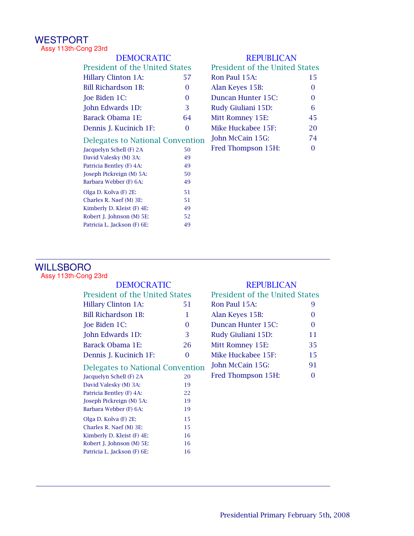#### WESTPORT Assy 113th-Cong 23rd

| <b>DEMOCRATIC</b>                       |                                       | <b>REPUBLICAN</b> |                                       |    |
|-----------------------------------------|---------------------------------------|-------------------|---------------------------------------|----|
|                                         | <b>President of the United States</b> |                   | <b>President of the United States</b> |    |
|                                         | <b>Hillary Clinton 1A:</b>            | 57                | Ron Paul 15A:                         | 15 |
|                                         | <b>Bill Richardson 1B:</b>            | $\Omega$          | Alan Keyes 15B:                       | 0  |
|                                         | Joe Biden 1C:                         | $\Omega$          | Duncan Hunter 15C:                    | 0  |
|                                         | John Edwards 1D:                      | 3                 | Rudy Giuliani 15D:                    | 6  |
|                                         | <b>Barack Obama 1E:</b>               | 64                | Mitt Romney 15E:                      | 45 |
|                                         | Dennis J. Kucinich 1F:                | $\Omega$          | Mike Huckabee 15F:                    | 20 |
| <b>Delegates to National Convention</b> |                                       | John McCain 15G:  | 74                                    |    |
|                                         | Jacquelyn Schell (F) 2A               | 50                | Fred Thompson 15H:                    | 0  |
|                                         | David Valesky (M) 3A:                 | 49                |                                       |    |
|                                         | Patricia Bentley (F) 4A:              | 49                |                                       |    |
|                                         | Joseph Pickreign (M) 5A:              | 50                |                                       |    |
|                                         | Barbara Webber (F) 6A:                | 49                |                                       |    |
|                                         | Olga D. Kolva (F) 2E:                 | 51                |                                       |    |
|                                         | Charles R. Naef (M) 3E:               | 51                |                                       |    |
|                                         | Kimberly D. Kleist (F) 4E:            | 49                |                                       |    |
|                                         | Robert J. Johnson (M) 5E:             | 52                |                                       |    |
|                                         |                                       |                   |                                       |    |

# WILLSBORO

Assy 113th-Cong 23rd

| ∾יט⊐ ⊿ייי                        |          |                                |          |  |
|----------------------------------|----------|--------------------------------|----------|--|
| <b>DEMOCRATIC</b>                |          | <b>REPUBLICAN</b>              |          |  |
| President of the United States   |          | President of the United States |          |  |
| <b>Hillary Clinton 1A:</b>       | 51       | Ron Paul 15A:                  | 9        |  |
| <b>Bill Richardson 1B:</b>       | 1        | Alan Keyes 15B:                | $\theta$ |  |
| Joe Biden 1C:                    | $\Omega$ | Duncan Hunter 15C:             | 0        |  |
| John Edwards 1D:                 | 3        | Rudy Giuliani 15D:             | 11       |  |
| Barack Obama 1E:                 | 26       | Mitt Romney 15E:               | 35       |  |
| Dennis J. Kucinich 1F:           | $\Omega$ | Mike Huckabee 15F:             | 15       |  |
| Delegates to National Convention |          | John McCain 15G:               | 91       |  |
| Jacquelyn Schell (F) 2A          | 20       | Fred Thompson 15H:             | $\Omega$ |  |
| David Valesky (M) 3A:            | 19       |                                |          |  |
| Patricia Bentley (F) 4A:         | 22       |                                |          |  |
| Joseph Pickreign (M) 5A:         | 19       |                                |          |  |
| Barbara Webber (F) 6A:           | 19       |                                |          |  |
| Olga D. Kolva (F) 2E:            | 15       |                                |          |  |
| Charles R. Naef (M) 3E:          | 15       |                                |          |  |
| Kimberly D. Kleist (F) 4E:       | 16       |                                |          |  |
| Robert J. Johnson (M) 5E:        | 16       |                                |          |  |
| Patricia L. Jackson (F) 6E:      | 16       |                                |          |  |
|                                  |          |                                |          |  |

49 Patricia L. Jackson (F) 6E:

| <b>President of the United States</b> |          |
|---------------------------------------|----------|
| Ron Paul 15A:                         | 9        |
| Alan Keyes 15B:                       | 0        |
| Duncan Hunter 15C:                    | $\Omega$ |
| Rudy Giuliani 15D:                    | 11       |
| Mitt Romney 15E:                      | 35       |
| Mike Huckabee 15F:                    | 15       |
| John McCain 15G:                      | 91       |
| Fred Thompson 15H:                    | ∩        |